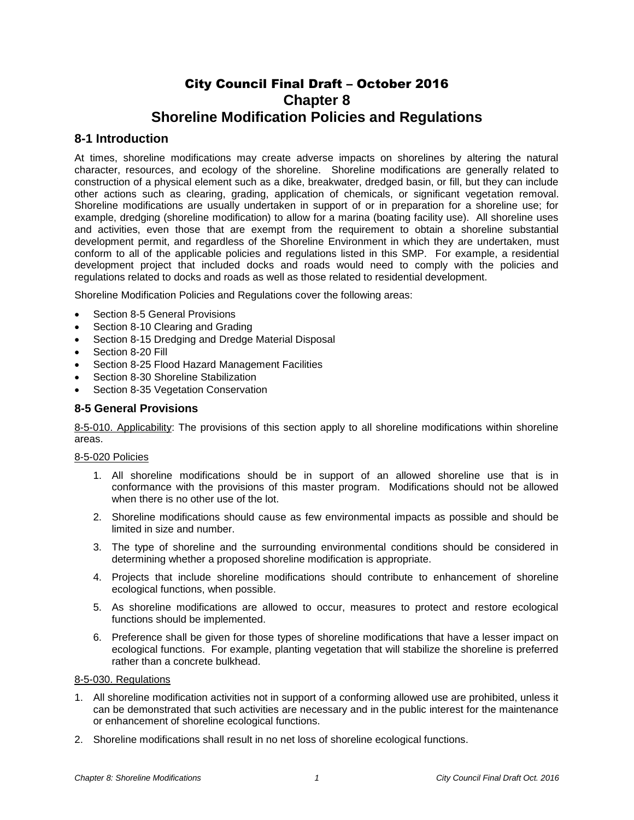# City Council Final Draft – October 2016 **Chapter 8 Shoreline Modification Policies and Regulations**

# **8-1 Introduction**

At times, shoreline modifications may create adverse impacts on shorelines by altering the natural character, resources, and ecology of the shoreline. Shoreline modifications are generally related to construction of a physical element such as a dike, breakwater, dredged basin, or fill, but they can include other actions such as clearing, grading, application of chemicals, or significant vegetation removal. Shoreline modifications are usually undertaken in support of or in preparation for a shoreline use; for example, dredging (shoreline modification) to allow for a marina (boating facility use). All shoreline uses and activities, even those that are exempt from the requirement to obtain a shoreline substantial development permit, and regardless of the Shoreline Environment in which they are undertaken, must conform to all of the applicable policies and regulations listed in this SMP. For example, a residential development project that included docks and roads would need to comply with the policies and regulations related to docks and roads as well as those related to residential development.

Shoreline Modification Policies and Regulations cover the following areas:

- Section 8-5 General Provisions
- Section 8-10 Clearing and Grading
- Section 8-15 Dredging and Dredge Material Disposal
- Section 8-20 Fill
- Section 8-25 Flood Hazard Management Facilities
- Section 8-30 Shoreline Stabilization
- Section 8-35 Vegetation Conservation

## **8-5 General Provisions**

8-5-010. Applicability: The provisions of this section apply to all shoreline modifications within shoreline areas.

### 8-5-020 Policies

- 1. All shoreline modifications should be in support of an allowed shoreline use that is in conformance with the provisions of this master program. Modifications should not be allowed when there is no other use of the lot.
- 2. Shoreline modifications should cause as few environmental impacts as possible and should be limited in size and number.
- 3. The type of shoreline and the surrounding environmental conditions should be considered in determining whether a proposed shoreline modification is appropriate.
- 4. Projects that include shoreline modifications should contribute to enhancement of shoreline ecological functions, when possible.
- 5. As shoreline modifications are allowed to occur, measures to protect and restore ecological functions should be implemented.
- 6. Preference shall be given for those types of shoreline modifications that have a lesser impact on ecological functions. For example, planting vegetation that will stabilize the shoreline is preferred rather than a concrete bulkhead.

# 8-5-030. Regulations

- 1. All shoreline modification activities not in support of a conforming allowed use are prohibited, unless it can be demonstrated that such activities are necessary and in the public interest for the maintenance or enhancement of shoreline ecological functions.
- 2. Shoreline modifications shall result in no net loss of shoreline ecological functions.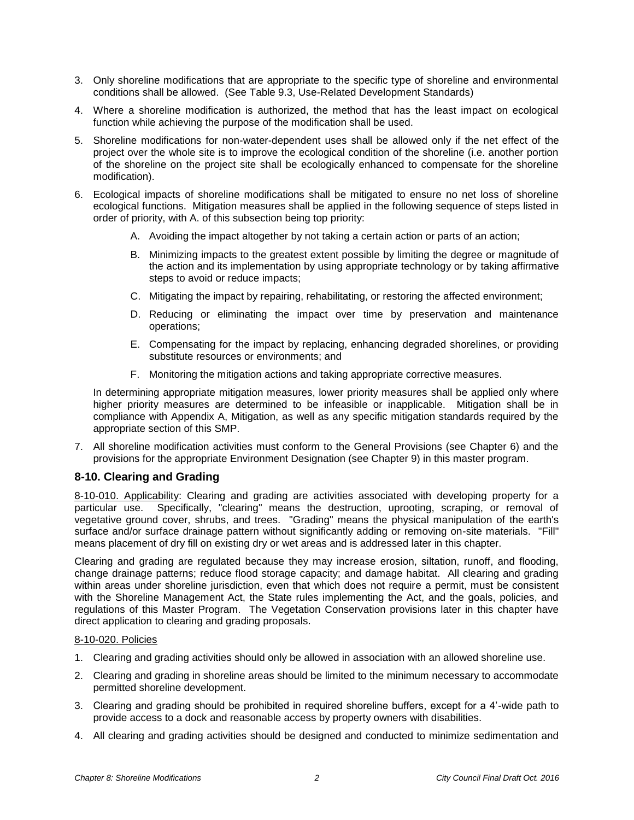- 3. Only shoreline modifications that are appropriate to the specific type of shoreline and environmental conditions shall be allowed. (See Table 9.3, Use-Related Development Standards)
- 4. Where a shoreline modification is authorized, the method that has the least impact on ecological function while achieving the purpose of the modification shall be used.
- 5. Shoreline modifications for non-water-dependent uses shall be allowed only if the net effect of the project over the whole site is to improve the ecological condition of the shoreline (i.e. another portion of the shoreline on the project site shall be ecologically enhanced to compensate for the shoreline modification).
- 6. Ecological impacts of shoreline modifications shall be mitigated to ensure no net loss of shoreline ecological functions. Mitigation measures shall be applied in the following sequence of steps listed in order of priority, with A. of this subsection being top priority:
	- A. Avoiding the impact altogether by not taking a certain action or parts of an action;
	- B. Minimizing impacts to the greatest extent possible by limiting the degree or magnitude of the action and its implementation by using appropriate technology or by taking affirmative steps to avoid or reduce impacts;
	- C. Mitigating the impact by repairing, rehabilitating, or restoring the affected environment;
	- D. Reducing or eliminating the impact over time by preservation and maintenance operations;
	- E. Compensating for the impact by replacing, enhancing degraded shorelines, or providing substitute resources or environments; and
	- F. Monitoring the mitigation actions and taking appropriate corrective measures.

In determining appropriate mitigation measures, lower priority measures shall be applied only where higher priority measures are determined to be infeasible or inapplicable. Mitigation shall be in compliance with Appendix A, Mitigation, as well as any specific mitigation standards required by the appropriate section of this SMP.

7. All shoreline modification activities must conform to the General Provisions (see Chapter 6) and the provisions for the appropriate Environment Designation (see Chapter 9) in this master program.

# **8-10. Clearing and Grading**

8-10-010. Applicability: Clearing and grading are activities associated with developing property for a particular use. Specifically, "clearing" means the destruction, uprooting, scraping, or removal of vegetative ground cover, shrubs, and trees. "Grading" means the physical manipulation of the earth's surface and/or surface drainage pattern without significantly adding or removing on-site materials. "Fill" means placement of dry fill on existing dry or wet areas and is addressed later in this chapter.

Clearing and grading are regulated because they may increase erosion, siltation, runoff, and flooding, change drainage patterns; reduce flood storage capacity; and damage habitat. All clearing and grading within areas under shoreline jurisdiction, even that which does not require a permit, must be consistent with the Shoreline Management Act, the State rules implementing the Act, and the goals, policies, and regulations of this Master Program. The Vegetation Conservation provisions later in this chapter have direct application to clearing and grading proposals.

### 8-10-020. Policies

- 1. Clearing and grading activities should only be allowed in association with an allowed shoreline use.
- 2. Clearing and grading in shoreline areas should be limited to the minimum necessary to accommodate permitted shoreline development.
- 3. Clearing and grading should be prohibited in required shoreline buffers, except for a 4'-wide path to provide access to a dock and reasonable access by property owners with disabilities.
- 4. All clearing and grading activities should be designed and conducted to minimize sedimentation and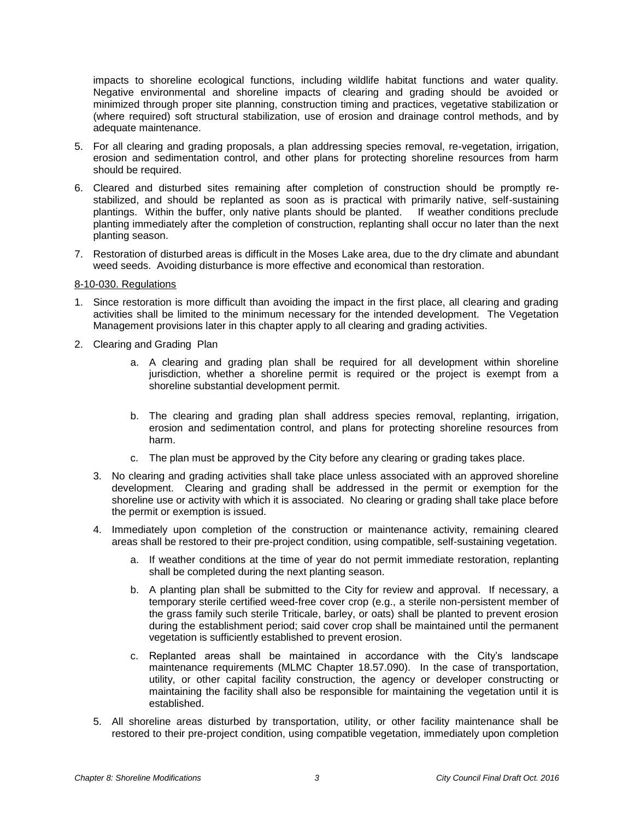impacts to shoreline ecological functions, including wildlife habitat functions and water quality. Negative environmental and shoreline impacts of clearing and grading should be avoided or minimized through proper site planning, construction timing and practices, vegetative stabilization or (where required) soft structural stabilization, use of erosion and drainage control methods, and by adequate maintenance.

- 5. For all clearing and grading proposals, a plan addressing species removal, re-vegetation, irrigation, erosion and sedimentation control, and other plans for protecting shoreline resources from harm should be required.
- 6. Cleared and disturbed sites remaining after completion of construction should be promptly restabilized, and should be replanted as soon as is practical with primarily native, self-sustaining plantings. Within the buffer, only native plants should be planted. If weather conditions preclude planting immediately after the completion of construction, replanting shall occur no later than the next planting season.
- 7. Restoration of disturbed areas is difficult in the Moses Lake area, due to the dry climate and abundant weed seeds. Avoiding disturbance is more effective and economical than restoration.

#### 8-10-030. Regulations

- 1. Since restoration is more difficult than avoiding the impact in the first place, all clearing and grading activities shall be limited to the minimum necessary for the intended development. The Vegetation Management provisions later in this chapter apply to all clearing and grading activities.
- 2. Clearing and Grading Plan
	- a. A clearing and grading plan shall be required for all development within shoreline jurisdiction, whether a shoreline permit is required or the project is exempt from a shoreline substantial development permit.
	- b. The clearing and grading plan shall address species removal, replanting, irrigation, erosion and sedimentation control, and plans for protecting shoreline resources from harm.
	- c. The plan must be approved by the City before any clearing or grading takes place.
	- 3. No clearing and grading activities shall take place unless associated with an approved shoreline development. Clearing and grading shall be addressed in the permit or exemption for the shoreline use or activity with which it is associated. No clearing or grading shall take place before the permit or exemption is issued.
	- 4. Immediately upon completion of the construction or maintenance activity, remaining cleared areas shall be restored to their pre-project condition, using compatible, self-sustaining vegetation.
		- a. If weather conditions at the time of year do not permit immediate restoration, replanting shall be completed during the next planting season.
		- b. A planting plan shall be submitted to the City for review and approval. If necessary, a temporary sterile certified weed-free cover crop (e.g., a sterile non-persistent member of the grass family such sterile Triticale, barley, or oats) shall be planted to prevent erosion during the establishment period; said cover crop shall be maintained until the permanent vegetation is sufficiently established to prevent erosion.
		- c. Replanted areas shall be maintained in accordance with the City's landscape maintenance requirements (MLMC Chapter 18.57.090). In the case of transportation, utility, or other capital facility construction, the agency or developer constructing or maintaining the facility shall also be responsible for maintaining the vegetation until it is established.
	- 5. All shoreline areas disturbed by transportation, utility, or other facility maintenance shall be restored to their pre-project condition, using compatible vegetation, immediately upon completion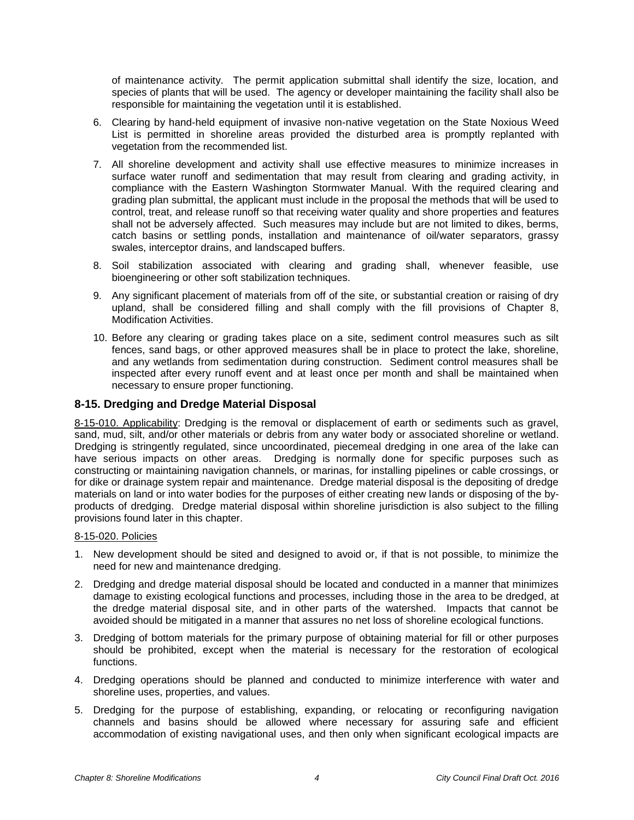of maintenance activity. The permit application submittal shall identify the size, location, and species of plants that will be used. The agency or developer maintaining the facility shall also be responsible for maintaining the vegetation until it is established.

- 6. Clearing by hand-held equipment of invasive non-native vegetation on the State Noxious Weed List is permitted in shoreline areas provided the disturbed area is promptly replanted with vegetation from the recommended list.
- 7. All shoreline development and activity shall use effective measures to minimize increases in surface water runoff and sedimentation that may result from clearing and grading activity, in compliance with the Eastern Washington Stormwater Manual. With the required clearing and grading plan submittal, the applicant must include in the proposal the methods that will be used to control, treat, and release runoff so that receiving water quality and shore properties and features shall not be adversely affected. Such measures may include but are not limited to dikes, berms, catch basins or settling ponds, installation and maintenance of oil/water separators, grassy swales, interceptor drains, and landscaped buffers.
- 8. Soil stabilization associated with clearing and grading shall, whenever feasible, use bioengineering or other soft stabilization techniques.
- 9. Any significant placement of materials from off of the site, or substantial creation or raising of dry upland, shall be considered filling and shall comply with the fill provisions of Chapter 8, Modification Activities.
- 10. Before any clearing or grading takes place on a site, sediment control measures such as silt fences, sand bags, or other approved measures shall be in place to protect the lake, shoreline, and any wetlands from sedimentation during construction. Sediment control measures shall be inspected after every runoff event and at least once per month and shall be maintained when necessary to ensure proper functioning.

# **8-15. Dredging and Dredge Material Disposal**

8-15-010. Applicability: Dredging is the removal or displacement of earth or sediments such as gravel, sand, mud, silt, and/or other materials or debris from any water body or associated shoreline or wetland. Dredging is stringently regulated, since uncoordinated, piecemeal dredging in one area of the lake can have serious impacts on other areas. Dredging is normally done for specific purposes such as constructing or maintaining navigation channels, or marinas, for installing pipelines or cable crossings, or for dike or drainage system repair and maintenance. Dredge material disposal is the depositing of dredge materials on land or into water bodies for the purposes of either creating new lands or disposing of the byproducts of dredging. Dredge material disposal within shoreline jurisdiction is also subject to the filling provisions found later in this chapter.

### 8-15-020. Policies

- 1. New development should be sited and designed to avoid or, if that is not possible, to minimize the need for new and maintenance dredging.
- 2. Dredging and dredge material disposal should be located and conducted in a manner that minimizes damage to existing ecological functions and processes, including those in the area to be dredged, at the dredge material disposal site, and in other parts of the watershed. Impacts that cannot be avoided should be mitigated in a manner that assures no net loss of shoreline ecological functions.
- 3. Dredging of bottom materials for the primary purpose of obtaining material for fill or other purposes should be prohibited, except when the material is necessary for the restoration of ecological functions.
- 4. Dredging operations should be planned and conducted to minimize interference with water and shoreline uses, properties, and values.
- 5. Dredging for the purpose of establishing, expanding, or relocating or reconfiguring navigation channels and basins should be allowed where necessary for assuring safe and efficient accommodation of existing navigational uses, and then only when significant ecological impacts are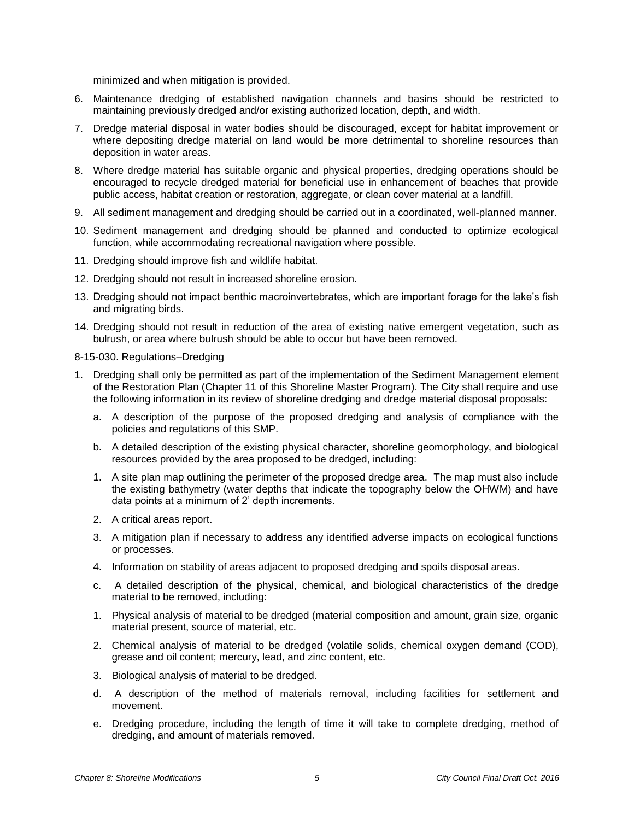minimized and when mitigation is provided.

- 6. Maintenance dredging of established navigation channels and basins should be restricted to maintaining previously dredged and/or existing authorized location, depth, and width.
- 7. Dredge material disposal in water bodies should be discouraged, except for habitat improvement or where depositing dredge material on land would be more detrimental to shoreline resources than deposition in water areas.
- 8. Where dredge material has suitable organic and physical properties, dredging operations should be encouraged to recycle dredged material for beneficial use in enhancement of beaches that provide public access, habitat creation or restoration, aggregate, or clean cover material at a landfill.
- 9. All sediment management and dredging should be carried out in a coordinated, well-planned manner.
- 10. Sediment management and dredging should be planned and conducted to optimize ecological function, while accommodating recreational navigation where possible.
- 11. Dredging should improve fish and wildlife habitat.
- 12. Dredging should not result in increased shoreline erosion.
- 13. Dredging should not impact benthic macroinvertebrates, which are important forage for the lake's fish and migrating birds.
- 14. Dredging should not result in reduction of the area of existing native emergent vegetation, such as bulrush, or area where bulrush should be able to occur but have been removed.

#### 8-15-030. Regulations–Dredging

- 1. Dredging shall only be permitted as part of the implementation of the Sediment Management element of the Restoration Plan (Chapter 11 of this Shoreline Master Program). The City shall require and use the following information in its review of shoreline dredging and dredge material disposal proposals:
	- a. A description of the purpose of the proposed dredging and analysis of compliance with the policies and regulations of this SMP.
	- b. A detailed description of the existing physical character, shoreline geomorphology, and biological resources provided by the area proposed to be dredged, including:
	- 1. A site plan map outlining the perimeter of the proposed dredge area. The map must also include the existing bathymetry (water depths that indicate the topography below the OHWM) and have data points at a minimum of 2' depth increments.
	- 2. A critical areas report.
	- 3. A mitigation plan if necessary to address any identified adverse impacts on ecological functions or processes.
	- 4. Information on stability of areas adjacent to proposed dredging and spoils disposal areas.
	- c. A detailed description of the physical, chemical, and biological characteristics of the dredge material to be removed, including:
	- 1. Physical analysis of material to be dredged (material composition and amount, grain size, organic material present, source of material, etc.
	- 2. Chemical analysis of material to be dredged (volatile solids, chemical oxygen demand (COD), grease and oil content; mercury, lead, and zinc content, etc.
	- 3. Biological analysis of material to be dredged.
	- d. A description of the method of materials removal, including facilities for settlement and movement.
	- e. Dredging procedure, including the length of time it will take to complete dredging, method of dredging, and amount of materials removed.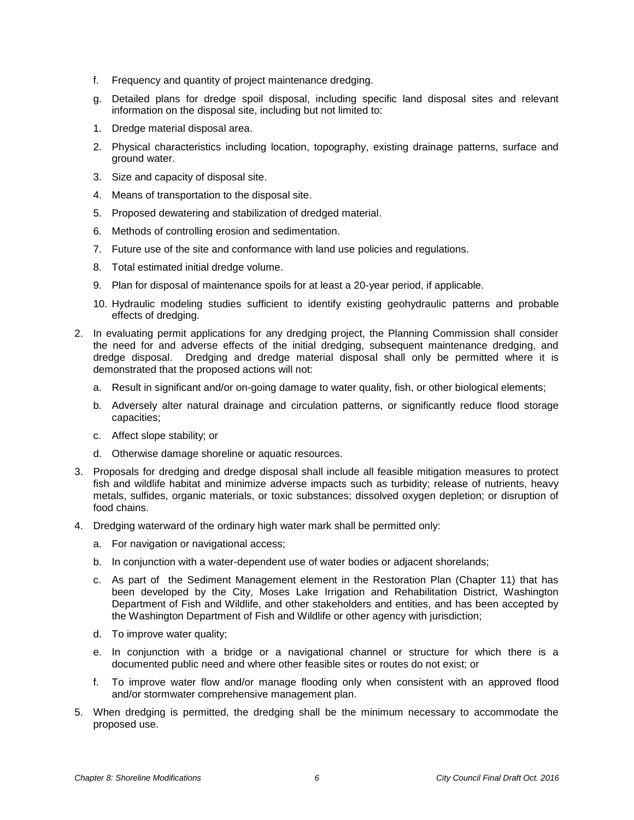- f. Frequency and quantity of project maintenance dredging.
- g. Detailed plans for dredge spoil disposal, including specific land disposal sites and relevant information on the disposal site, including but not limited to:
- 1. Dredge material disposal area.
- 2. Physical characteristics including location, topography, existing drainage patterns, surface and ground water.
- 3. Size and capacity of disposal site.
- 4. Means of transportation to the disposal site.
- 5. Proposed dewatering and stabilization of dredged material.
- 6. Methods of controlling erosion and sedimentation.
- 7. Future use of the site and conformance with land use policies and regulations.
- 8. Total estimated initial dredge volume.
- 9. Plan for disposal of maintenance spoils for at least a 20-year period, if applicable.
- 10. Hydraulic modeling studies sufficient to identify existing geohydraulic patterns and probable effects of dredging.
- 2. In evaluating permit applications for any dredging project, the Planning Commission shall consider the need for and adverse effects of the initial dredging, subsequent maintenance dredging, and dredge disposal. Dredging and dredge material disposal shall only be permitted where it is demonstrated that the proposed actions will not:
	- a. Result in significant and/or on-going damage to water quality, fish, or other biological elements;
	- b. Adversely alter natural drainage and circulation patterns, or significantly reduce flood storage capacities;
	- c. Affect slope stability; or
	- d. Otherwise damage shoreline or aquatic resources.
- 3. Proposals for dredging and dredge disposal shall include all feasible mitigation measures to protect fish and wildlife habitat and minimize adverse impacts such as turbidity; release of nutrients, heavy metals, sulfides, organic materials, or toxic substances; dissolved oxygen depletion; or disruption of food chains.
- 4. Dredging waterward of the ordinary high water mark shall be permitted only:
	- a. For navigation or navigational access;
	- b. In conjunction with a water-dependent use of water bodies or adjacent shorelands;
	- c. As part of the Sediment Management element in the Restoration Plan (Chapter 11) that has been developed by the City, Moses Lake Irrigation and Rehabilitation District, Washington Department of Fish and Wildlife, and other stakeholders and entities, and has been accepted by the Washington Department of Fish and Wildlife or other agency with jurisdiction;
	- d. To improve water quality;
	- e. In conjunction with a bridge or a navigational channel or structure for which there is a documented public need and where other feasible sites or routes do not exist; or
	- f. To improve water flow and/or manage flooding only when consistent with an approved flood and/or stormwater comprehensive management plan.
- 5. When dredging is permitted, the dredging shall be the minimum necessary to accommodate the proposed use.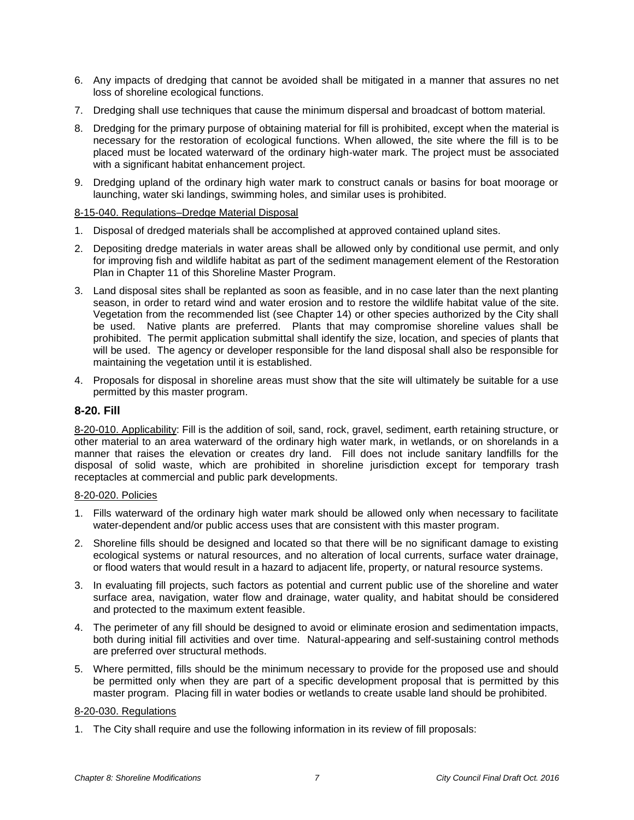- 6. Any impacts of dredging that cannot be avoided shall be mitigated in a manner that assures no net loss of shoreline ecological functions.
- 7. Dredging shall use techniques that cause the minimum dispersal and broadcast of bottom material.
- 8. Dredging for the primary purpose of obtaining material for fill is prohibited, except when the material is necessary for the restoration of ecological functions. When allowed, the site where the fill is to be placed must be located waterward of the ordinary high-water mark. The project must be associated with a significant habitat enhancement project.
- 9. Dredging upland of the ordinary high water mark to construct canals or basins for boat moorage or launching, water ski landings, swimming holes, and similar uses is prohibited.

### 8-15-040. Regulations–Dredge Material Disposal

- 1. Disposal of dredged materials shall be accomplished at approved contained upland sites.
- 2. Depositing dredge materials in water areas shall be allowed only by conditional use permit, and only for improving fish and wildlife habitat as part of the sediment management element of the Restoration Plan in Chapter 11 of this Shoreline Master Program.
- 3. Land disposal sites shall be replanted as soon as feasible, and in no case later than the next planting season, in order to retard wind and water erosion and to restore the wildlife habitat value of the site. Vegetation from the recommended list (see Chapter 14) or other species authorized by the City shall be used. Native plants are preferred. Plants that may compromise shoreline values shall be prohibited. The permit application submittal shall identify the size, location, and species of plants that will be used. The agency or developer responsible for the land disposal shall also be responsible for maintaining the vegetation until it is established.
- 4. Proposals for disposal in shoreline areas must show that the site will ultimately be suitable for a use permitted by this master program.

# **8-20. Fill**

8-20-010. Applicability: Fill is the addition of soil, sand, rock, gravel, sediment, earth retaining structure, or other material to an area waterward of the ordinary high water mark, in wetlands, or on shorelands in a manner that raises the elevation or creates dry land. Fill does not include sanitary landfills for the disposal of solid waste, which are prohibited in shoreline jurisdiction except for temporary trash receptacles at commercial and public park developments.

### 8-20-020. Policies

- 1. Fills waterward of the ordinary high water mark should be allowed only when necessary to facilitate water-dependent and/or public access uses that are consistent with this master program.
- 2. Shoreline fills should be designed and located so that there will be no significant damage to existing ecological systems or natural resources, and no alteration of local currents, surface water drainage, or flood waters that would result in a hazard to adjacent life, property, or natural resource systems.
- 3. In evaluating fill projects, such factors as potential and current public use of the shoreline and water surface area, navigation, water flow and drainage, water quality, and habitat should be considered and protected to the maximum extent feasible.
- 4. The perimeter of any fill should be designed to avoid or eliminate erosion and sedimentation impacts, both during initial fill activities and over time. Natural-appearing and self-sustaining control methods are preferred over structural methods.
- 5. Where permitted, fills should be the minimum necessary to provide for the proposed use and should be permitted only when they are part of a specific development proposal that is permitted by this master program. Placing fill in water bodies or wetlands to create usable land should be prohibited.

### 8-20-030. Regulations

1. The City shall require and use the following information in its review of fill proposals: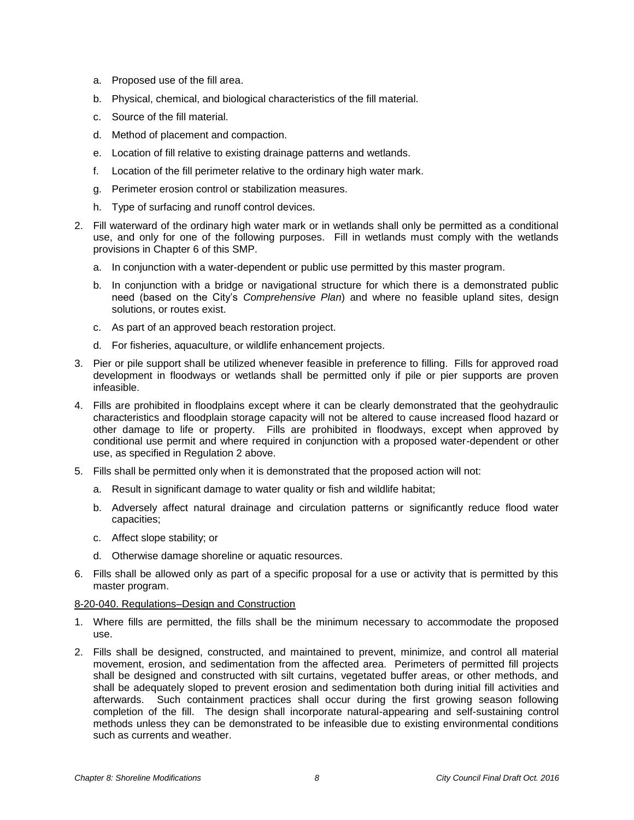- a. Proposed use of the fill area.
- b. Physical, chemical, and biological characteristics of the fill material.
- c. Source of the fill material.
- d. Method of placement and compaction.
- e. Location of fill relative to existing drainage patterns and wetlands.
- f. Location of the fill perimeter relative to the ordinary high water mark.
- g. Perimeter erosion control or stabilization measures.
- h. Type of surfacing and runoff control devices.
- 2. Fill waterward of the ordinary high water mark or in wetlands shall only be permitted as a conditional use, and only for one of the following purposes. Fill in wetlands must comply with the wetlands provisions in Chapter 6 of this SMP.
	- a. In conjunction with a water-dependent or public use permitted by this master program.
	- b. In conjunction with a bridge or navigational structure for which there is a demonstrated public need (based on the City's *Comprehensive Plan*) and where no feasible upland sites, design solutions, or routes exist.
	- c. As part of an approved beach restoration project.
	- d. For fisheries, aquaculture, or wildlife enhancement projects.
- 3. Pier or pile support shall be utilized whenever feasible in preference to filling. Fills for approved road development in floodways or wetlands shall be permitted only if pile or pier supports are proven infeasible.
- 4. Fills are prohibited in floodplains except where it can be clearly demonstrated that the geohydraulic characteristics and floodplain storage capacity will not be altered to cause increased flood hazard or other damage to life or property. Fills are prohibited in floodways, except when approved by conditional use permit and where required in conjunction with a proposed water-dependent or other use, as specified in Regulation 2 above.
- 5. Fills shall be permitted only when it is demonstrated that the proposed action will not:
	- a. Result in significant damage to water quality or fish and wildlife habitat;
	- b. Adversely affect natural drainage and circulation patterns or significantly reduce flood water capacities;
	- c. Affect slope stability; or
	- d. Otherwise damage shoreline or aquatic resources.
- 6. Fills shall be allowed only as part of a specific proposal for a use or activity that is permitted by this master program.

### 8-20-040. Regulations–Design and Construction

- 1. Where fills are permitted, the fills shall be the minimum necessary to accommodate the proposed use.
- 2. Fills shall be designed, constructed, and maintained to prevent, minimize, and control all material movement, erosion, and sedimentation from the affected area. Perimeters of permitted fill projects shall be designed and constructed with silt curtains, vegetated buffer areas, or other methods, and shall be adequately sloped to prevent erosion and sedimentation both during initial fill activities and afterwards. Such containment practices shall occur during the first growing season following completion of the fill. The design shall incorporate natural-appearing and self-sustaining control methods unless they can be demonstrated to be infeasible due to existing environmental conditions such as currents and weather.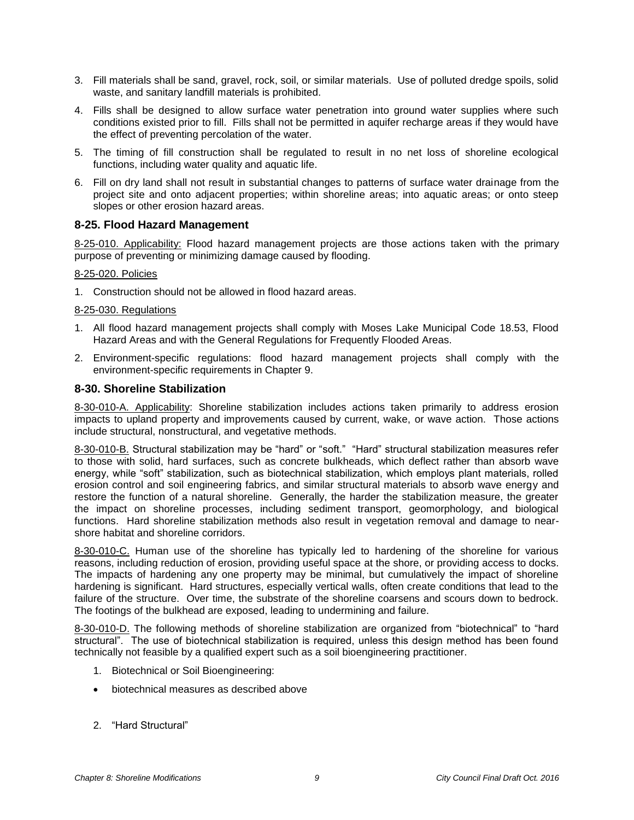- 3. Fill materials shall be sand, gravel, rock, soil, or similar materials. Use of polluted dredge spoils, solid waste, and sanitary landfill materials is prohibited.
- 4. Fills shall be designed to allow surface water penetration into ground water supplies where such conditions existed prior to fill. Fills shall not be permitted in aquifer recharge areas if they would have the effect of preventing percolation of the water.
- 5. The timing of fill construction shall be regulated to result in no net loss of shoreline ecological functions, including water quality and aquatic life.
- 6. Fill on dry land shall not result in substantial changes to patterns of surface water drainage from the project site and onto adjacent properties; within shoreline areas; into aquatic areas; or onto steep slopes or other erosion hazard areas.

# **8-25. Flood Hazard Management**

8-25-010. Applicability: Flood hazard management projects are those actions taken with the primary purpose of preventing or minimizing damage caused by flooding.

## 8-25-020. Policies

1. Construction should not be allowed in flood hazard areas.

## 8-25-030. Regulations

- 1. All flood hazard management projects shall comply with Moses Lake Municipal Code 18.53, Flood Hazard Areas and with the General Regulations for Frequently Flooded Areas.
- 2. Environment-specific regulations: flood hazard management projects shall comply with the environment-specific requirements in Chapter 9.

## **8-30. Shoreline Stabilization**

8-30-010-A. Applicability: Shoreline stabilization includes actions taken primarily to address erosion impacts to upland property and improvements caused by current, wake, or wave action. Those actions include structural, nonstructural, and vegetative methods.

8-30-010-B. Structural stabilization may be "hard" or "soft." "Hard" structural stabilization measures refer to those with solid, hard surfaces, such as concrete bulkheads, which deflect rather than absorb wave energy, while "soft" stabilization, such as biotechnical stabilization, which employs plant materials, rolled erosion control and soil engineering fabrics, and similar structural materials to absorb wave energy and restore the function of a natural shoreline. Generally, the harder the stabilization measure, the greater the impact on shoreline processes, including sediment transport, geomorphology, and biological functions. Hard shoreline stabilization methods also result in vegetation removal and damage to nearshore habitat and shoreline corridors.

8-30-010-C. Human use of the shoreline has typically led to hardening of the shoreline for various reasons, including reduction of erosion, providing useful space at the shore, or providing access to docks. The impacts of hardening any one property may be minimal, but cumulatively the impact of shoreline hardening is significant. Hard structures, especially vertical walls, often create conditions that lead to the failure of the structure. Over time, the substrate of the shoreline coarsens and scours down to bedrock. The footings of the bulkhead are exposed, leading to undermining and failure.

8-30-010-D. The following methods of shoreline stabilization are organized from "biotechnical" to "hard structural". The use of biotechnical stabilization is required, unless this design method has been found technically not feasible by a qualified expert such as a soil bioengineering practitioner.

- 1. Biotechnical or Soil Bioengineering:
- biotechnical measures as described above
- 2. "Hard Structural"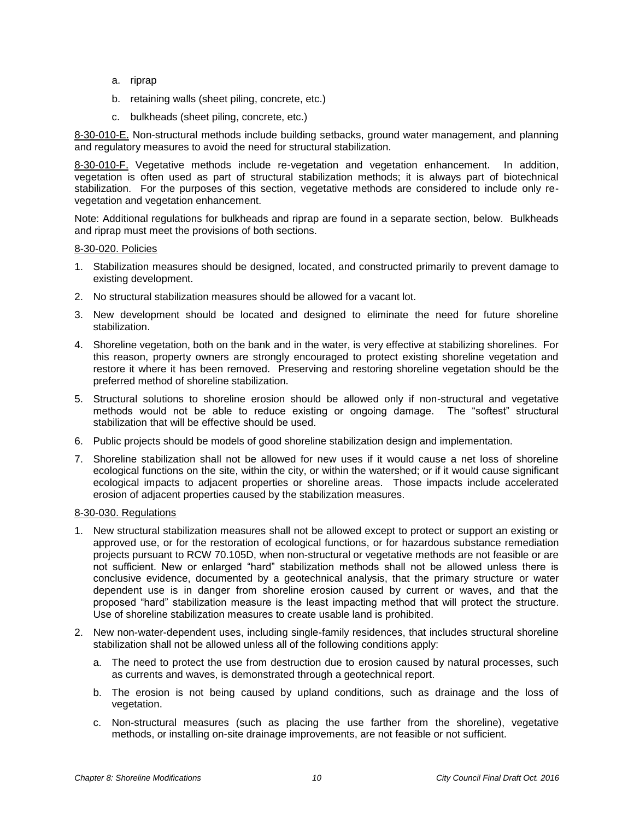- a. riprap
- b. retaining walls (sheet piling, concrete, etc.)
- c. bulkheads (sheet piling, concrete, etc.)

8-30-010-E. Non-structural methods include building setbacks, ground water management, and planning and regulatory measures to avoid the need for structural stabilization.

8-30-010-F. Vegetative methods include re-vegetation and vegetation enhancement. In addition, vegetation is often used as part of structural stabilization methods; it is always part of biotechnical stabilization. For the purposes of this section, vegetative methods are considered to include only revegetation and vegetation enhancement.

Note: Additional regulations for bulkheads and riprap are found in a separate section, below. Bulkheads and riprap must meet the provisions of both sections.

#### 8-30-020. Policies

- 1. Stabilization measures should be designed, located, and constructed primarily to prevent damage to existing development.
- 2. No structural stabilization measures should be allowed for a vacant lot.
- 3. New development should be located and designed to eliminate the need for future shoreline stabilization.
- 4. Shoreline vegetation, both on the bank and in the water, is very effective at stabilizing shorelines. For this reason, property owners are strongly encouraged to protect existing shoreline vegetation and restore it where it has been removed. Preserving and restoring shoreline vegetation should be the preferred method of shoreline stabilization.
- 5. Structural solutions to shoreline erosion should be allowed only if non-structural and vegetative methods would not be able to reduce existing or ongoing damage. The "softest" structural stabilization that will be effective should be used.
- 6. Public projects should be models of good shoreline stabilization design and implementation.
- 7. Shoreline stabilization shall not be allowed for new uses if it would cause a net loss of shoreline ecological functions on the site, within the city, or within the watershed; or if it would cause significant ecological impacts to adjacent properties or shoreline areas. Those impacts include accelerated erosion of adjacent properties caused by the stabilization measures.

#### 8-30-030. Regulations

- 1. New structural stabilization measures shall not be allowed except to protect or support an existing or approved use, or for the restoration of ecological functions, or for hazardous substance remediation projects pursuant to RCW 70.105D, when non-structural or vegetative methods are not feasible or are not sufficient. New or enlarged "hard" stabilization methods shall not be allowed unless there is conclusive evidence, documented by a geotechnical analysis, that the primary structure or water dependent use is in danger from shoreline erosion caused by current or waves, and that the proposed "hard" stabilization measure is the least impacting method that will protect the structure. Use of shoreline stabilization measures to create usable land is prohibited.
- 2. New non-water-dependent uses, including single-family residences, that includes structural shoreline stabilization shall not be allowed unless all of the following conditions apply:
	- a. The need to protect the use from destruction due to erosion caused by natural processes, such as currents and waves, is demonstrated through a geotechnical report.
	- b. The erosion is not being caused by upland conditions, such as drainage and the loss of vegetation.
	- c. Non-structural measures (such as placing the use farther from the shoreline), vegetative methods, or installing on-site drainage improvements, are not feasible or not sufficient.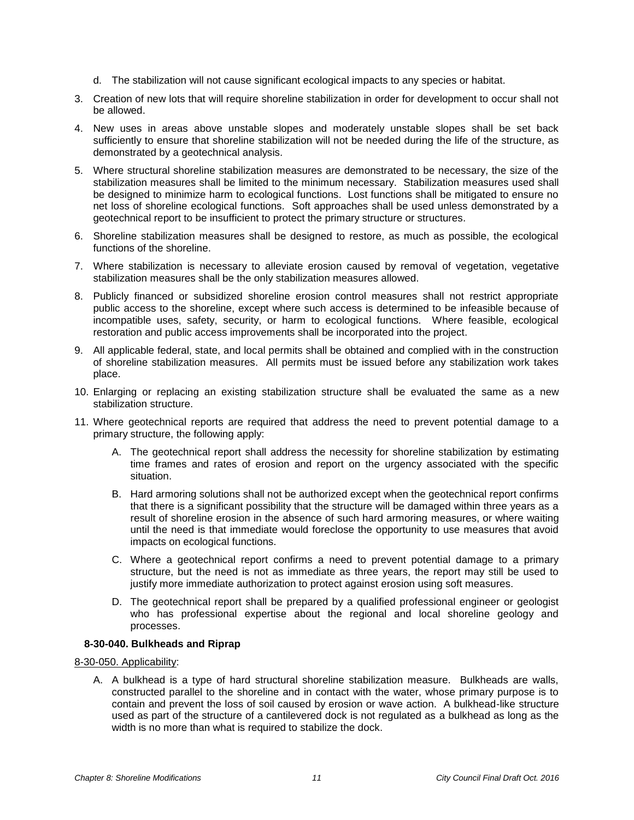- d. The stabilization will not cause significant ecological impacts to any species or habitat.
- 3. Creation of new lots that will require shoreline stabilization in order for development to occur shall not be allowed.
- 4. New uses in areas above unstable slopes and moderately unstable slopes shall be set back sufficiently to ensure that shoreline stabilization will not be needed during the life of the structure, as demonstrated by a geotechnical analysis.
- 5. Where structural shoreline stabilization measures are demonstrated to be necessary, the size of the stabilization measures shall be limited to the minimum necessary. Stabilization measures used shall be designed to minimize harm to ecological functions. Lost functions shall be mitigated to ensure no net loss of shoreline ecological functions. Soft approaches shall be used unless demonstrated by a geotechnical report to be insufficient to protect the primary structure or structures.
- 6. Shoreline stabilization measures shall be designed to restore, as much as possible, the ecological functions of the shoreline.
- 7. Where stabilization is necessary to alleviate erosion caused by removal of vegetation, vegetative stabilization measures shall be the only stabilization measures allowed.
- 8. Publicly financed or subsidized shoreline erosion control measures shall not restrict appropriate public access to the shoreline, except where such access is determined to be infeasible because of incompatible uses, safety, security, or harm to ecological functions. Where feasible, ecological restoration and public access improvements shall be incorporated into the project.
- 9. All applicable federal, state, and local permits shall be obtained and complied with in the construction of shoreline stabilization measures. All permits must be issued before any stabilization work takes place.
- 10. Enlarging or replacing an existing stabilization structure shall be evaluated the same as a new stabilization structure.
- 11. Where geotechnical reports are required that address the need to prevent potential damage to a primary structure, the following apply:
	- A. The geotechnical report shall address the necessity for shoreline stabilization by estimating time frames and rates of erosion and report on the urgency associated with the specific situation.
	- B. Hard armoring solutions shall not be authorized except when the geotechnical report confirms that there is a significant possibility that the structure will be damaged within three years as a result of shoreline erosion in the absence of such hard armoring measures, or where waiting until the need is that immediate would foreclose the opportunity to use measures that avoid impacts on ecological functions.
	- C. Where a geotechnical report confirms a need to prevent potential damage to a primary structure, but the need is not as immediate as three years, the report may still be used to justify more immediate authorization to protect against erosion using soft measures.
	- D. The geotechnical report shall be prepared by a qualified professional engineer or geologist who has professional expertise about the regional and local shoreline geology and processes.

### **8-30-040. Bulkheads and Riprap**

8-30-050. Applicability:

A. A bulkhead is a type of hard structural shoreline stabilization measure. Bulkheads are walls, constructed parallel to the shoreline and in contact with the water, whose primary purpose is to contain and prevent the loss of soil caused by erosion or wave action. A bulkhead-like structure used as part of the structure of a cantilevered dock is not regulated as a bulkhead as long as the width is no more than what is required to stabilize the dock.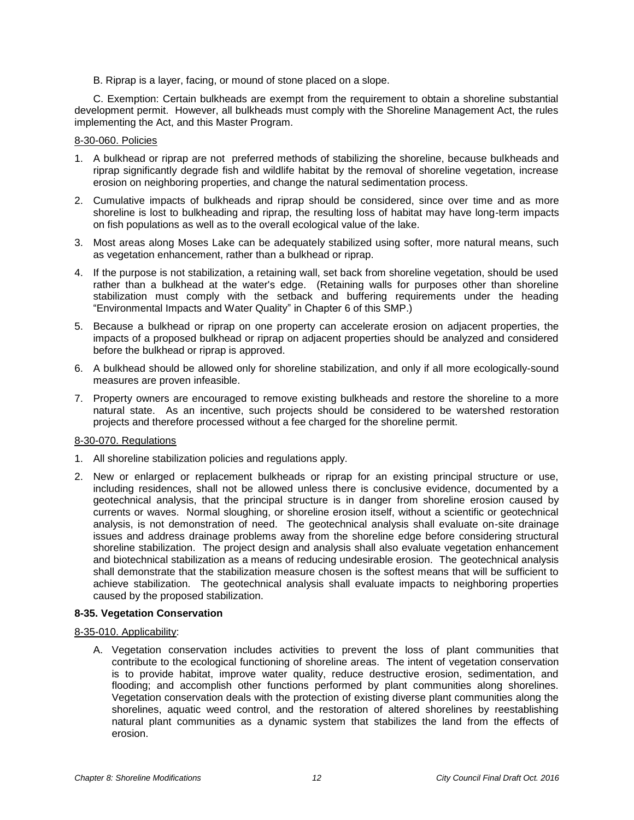B. Riprap is a layer, facing, or mound of stone placed on a slope.

C. Exemption: Certain bulkheads are exempt from the requirement to obtain a shoreline substantial development permit. However, all bulkheads must comply with the Shoreline Management Act, the rules implementing the Act, and this Master Program.

#### 8-30-060. Policies

- 1. A bulkhead or riprap are not preferred methods of stabilizing the shoreline, because bulkheads and riprap significantly degrade fish and wildlife habitat by the removal of shoreline vegetation, increase erosion on neighboring properties, and change the natural sedimentation process.
- 2. Cumulative impacts of bulkheads and riprap should be considered, since over time and as more shoreline is lost to bulkheading and riprap, the resulting loss of habitat may have long-term impacts on fish populations as well as to the overall ecological value of the lake.
- 3. Most areas along Moses Lake can be adequately stabilized using softer, more natural means, such as vegetation enhancement, rather than a bulkhead or riprap.
- 4. If the purpose is not stabilization, a retaining wall, set back from shoreline vegetation, should be used rather than a bulkhead at the water's edge. (Retaining walls for purposes other than shoreline stabilization must comply with the setback and buffering requirements under the heading "Environmental Impacts and Water Quality" in Chapter 6 of this SMP.)
- 5. Because a bulkhead or riprap on one property can accelerate erosion on adjacent properties, the impacts of a proposed bulkhead or riprap on adjacent properties should be analyzed and considered before the bulkhead or riprap is approved.
- 6. A bulkhead should be allowed only for shoreline stabilization, and only if all more ecologically-sound measures are proven infeasible.
- 7. Property owners are encouraged to remove existing bulkheads and restore the shoreline to a more natural state. As an incentive, such projects should be considered to be watershed restoration projects and therefore processed without a fee charged for the shoreline permit.

### 8-30-070. Regulations

- 1. All shoreline stabilization policies and regulations apply.
- 2. New or enlarged or replacement bulkheads or riprap for an existing principal structure or use, including residences, shall not be allowed unless there is conclusive evidence, documented by a geotechnical analysis, that the principal structure is in danger from shoreline erosion caused by currents or waves. Normal sloughing, or shoreline erosion itself, without a scientific or geotechnical analysis, is not demonstration of need. The geotechnical analysis shall evaluate on-site drainage issues and address drainage problems away from the shoreline edge before considering structural shoreline stabilization. The project design and analysis shall also evaluate vegetation enhancement and biotechnical stabilization as a means of reducing undesirable erosion. The geotechnical analysis shall demonstrate that the stabilization measure chosen is the softest means that will be sufficient to achieve stabilization. The geotechnical analysis shall evaluate impacts to neighboring properties caused by the proposed stabilization.

### **8-35. Vegetation Conservation**

#### 8-35-010. Applicability:

A. Vegetation conservation includes activities to prevent the loss of plant communities that contribute to the ecological functioning of shoreline areas. The intent of vegetation conservation is to provide habitat, improve water quality, reduce destructive erosion, sedimentation, and flooding; and accomplish other functions performed by plant communities along shorelines. Vegetation conservation deals with the protection of existing diverse plant communities along the shorelines, aquatic weed control, and the restoration of altered shorelines by reestablishing natural plant communities as a dynamic system that stabilizes the land from the effects of erosion.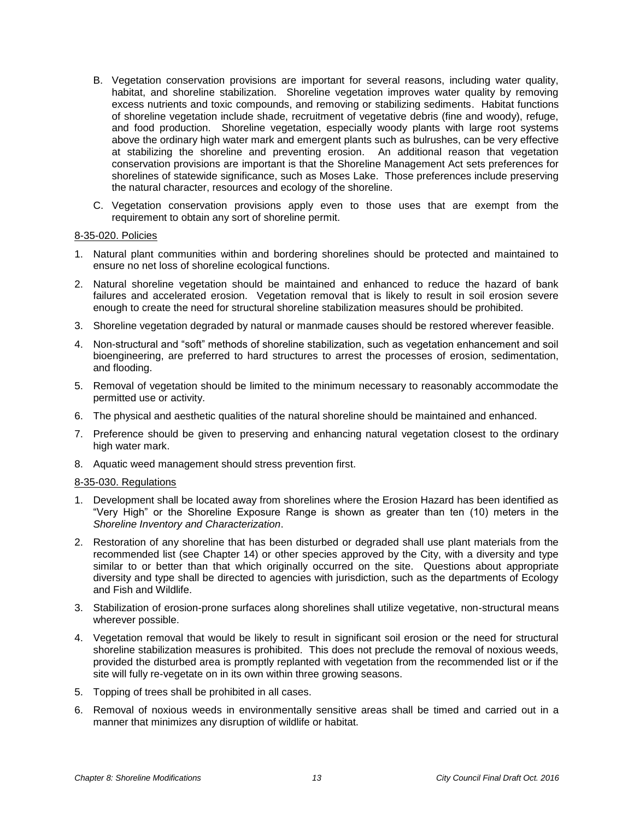- B. Vegetation conservation provisions are important for several reasons, including water quality, habitat, and shoreline stabilization. Shoreline vegetation improves water quality by removing excess nutrients and toxic compounds, and removing or stabilizing sediments. Habitat functions of shoreline vegetation include shade, recruitment of vegetative debris (fine and woody), refuge, and food production. Shoreline vegetation, especially woody plants with large root systems above the ordinary high water mark and emergent plants such as bulrushes, can be very effective at stabilizing the shoreline and preventing erosion. An additional reason that vegetation conservation provisions are important is that the Shoreline Management Act sets preferences for shorelines of statewide significance, such as Moses Lake. Those preferences include preserving the natural character, resources and ecology of the shoreline.
- C. Vegetation conservation provisions apply even to those uses that are exempt from the requirement to obtain any sort of shoreline permit.

#### 8-35-020. Policies

- 1. Natural plant communities within and bordering shorelines should be protected and maintained to ensure no net loss of shoreline ecological functions.
- 2. Natural shoreline vegetation should be maintained and enhanced to reduce the hazard of bank failures and accelerated erosion. Vegetation removal that is likely to result in soil erosion severe enough to create the need for structural shoreline stabilization measures should be prohibited.
- 3. Shoreline vegetation degraded by natural or manmade causes should be restored wherever feasible.
- 4. Non-structural and "soft" methods of shoreline stabilization, such as vegetation enhancement and soil bioengineering, are preferred to hard structures to arrest the processes of erosion, sedimentation, and flooding.
- 5. Removal of vegetation should be limited to the minimum necessary to reasonably accommodate the permitted use or activity.
- 6. The physical and aesthetic qualities of the natural shoreline should be maintained and enhanced.
- 7. Preference should be given to preserving and enhancing natural vegetation closest to the ordinary high water mark.
- 8. Aquatic weed management should stress prevention first.

### 8-35-030. Regulations

- 1. Development shall be located away from shorelines where the Erosion Hazard has been identified as "Very High" or the Shoreline Exposure Range is shown as greater than ten (10) meters in the *Shoreline Inventory and Characterization*.
- 2. Restoration of any shoreline that has been disturbed or degraded shall use plant materials from the recommended list (see Chapter 14) or other species approved by the City, with a diversity and type similar to or better than that which originally occurred on the site. Questions about appropriate diversity and type shall be directed to agencies with jurisdiction, such as the departments of Ecology and Fish and Wildlife.
- 3. Stabilization of erosion-prone surfaces along shorelines shall utilize vegetative, non-structural means wherever possible.
- 4. Vegetation removal that would be likely to result in significant soil erosion or the need for structural shoreline stabilization measures is prohibited. This does not preclude the removal of noxious weeds, provided the disturbed area is promptly replanted with vegetation from the recommended list or if the site will fully re-vegetate on in its own within three growing seasons.
- 5. Topping of trees shall be prohibited in all cases.
- 6. Removal of noxious weeds in environmentally sensitive areas shall be timed and carried out in a manner that minimizes any disruption of wildlife or habitat.